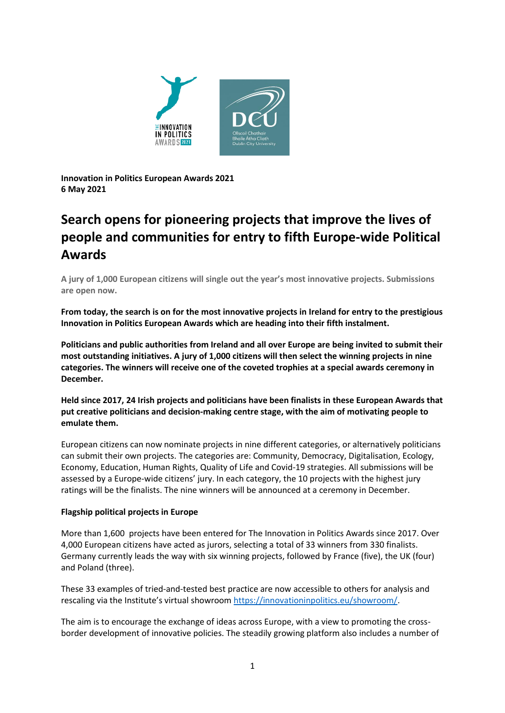

**Innovation in Politics European Awards 2021 6 May 2021**

# **Search opens for pioneering projects that improve the lives of people and communities for entry to fifth Europe-wide Political Awards**

**A jury of 1,000 European citizens will single out the year's most innovative projects. Submissions are open now.**

**From today, the search is on for the most innovative projects in Ireland for entry to the prestigious Innovation in Politics European Awards which are heading into their fifth instalment.** 

**Politicians and public authorities from Ireland and all over Europe are being invited to submit their most outstanding initiatives. A jury of 1,000 citizens will then select the winning projects in nine categories. The winners will receive one of the coveted trophies at a special awards ceremony in December.**

**Held since 2017, 24 Irish projects and politicians have been finalists in these European Awards that put creative politicians and decision-making centre stage, with the aim of motivating people to emulate them.**

European citizens can now nominate projects in nine different categories, or alternatively politicians can submit their own projects. The categories are: Community, Democracy, Digitalisation, Ecology, Economy, Education, Human Rights, Quality of Life and Covid-19 strategies. All submissions will be assessed by a Europe-wide citizens' jury. In each category, the 10 projects with the highest jury ratings will be the finalists. The nine winners will be announced at a ceremony in December.

## **Flagship political projects in Europe**

More than 1,600 projects have been entered for The Innovation in Politics Awards since 2017. Over 4,000 European citizens have acted as jurors, selecting a total of 33 winners from 330 finalists. Germany currently leads the way with six winning projects, followed by France (five), the UK (four) and Poland (three).

These 33 examples of tried-and-tested best practice are now accessible to others for analysis and rescaling via the Institute's virtual showroom [https://innovationinpolitics.eu/showroom/.](https://innovationinpolitics.eu/showroom/)

The aim is to encourage the exchange of ideas across Europe, with a view to promoting the crossborder development of innovative policies. The steadily growing platform also includes a number of